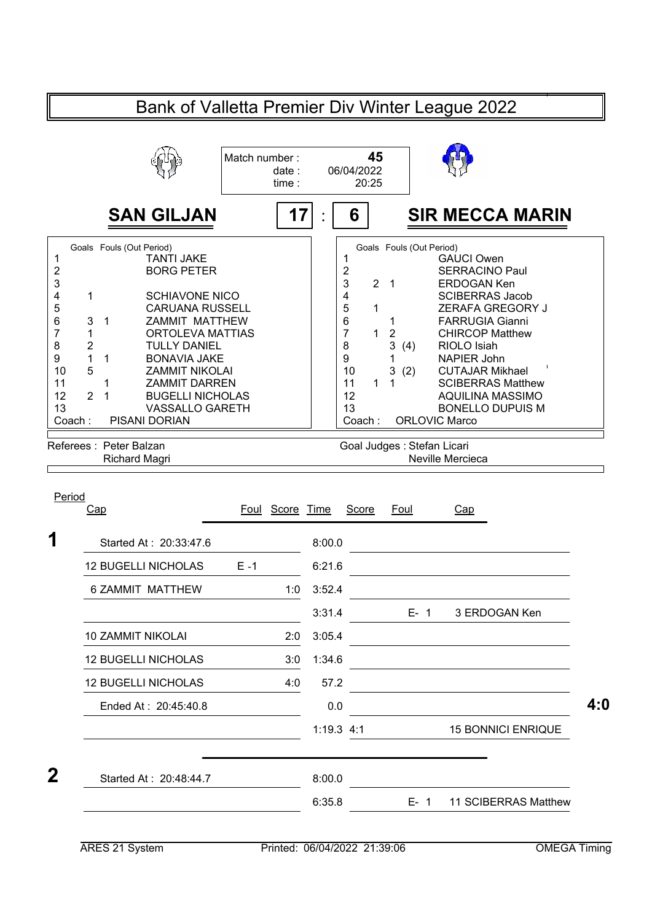| Bank of Valletta Premier Div Winter League 2022                                                                                          |                                                                                                                                                                                                                                                                                                                                                                               |                                 |                     |                                                                                                       |                                                                                              |                                                                                                                                                                                                                                                                                                                                                                                |  |
|------------------------------------------------------------------------------------------------------------------------------------------|-------------------------------------------------------------------------------------------------------------------------------------------------------------------------------------------------------------------------------------------------------------------------------------------------------------------------------------------------------------------------------|---------------------------------|---------------------|-------------------------------------------------------------------------------------------------------|----------------------------------------------------------------------------------------------|--------------------------------------------------------------------------------------------------------------------------------------------------------------------------------------------------------------------------------------------------------------------------------------------------------------------------------------------------------------------------------|--|
|                                                                                                                                          |                                                                                                                                                                                                                                                                                                                                                                               | Match number:<br>date:<br>time: | 06/04/2022<br>20:25 |                                                                                                       | 45                                                                                           |                                                                                                                                                                                                                                                                                                                                                                                |  |
|                                                                                                                                          | <b>SAN GILJAN</b>                                                                                                                                                                                                                                                                                                                                                             | 17                              |                     | 6                                                                                                     |                                                                                              | <b>SIR MECCA MARIN</b>                                                                                                                                                                                                                                                                                                                                                         |  |
| 1<br>2<br>3<br>4<br>1<br>5<br>6<br>3<br>7<br>1<br>$\overline{2}$<br>8<br>1<br>9<br>5<br>10<br>11<br>12<br>$\overline{2}$<br>13<br>Coach: | Goals Fouls (Out Period)<br><b>TANTI JAKE</b><br><b>BORG PETER</b><br><b>SCHIAVONE NICO</b><br><b>CARUANA RUSSELL</b><br>$\mathbf{1}$<br><b>ZAMMIT MATTHEW</b><br>ORTOLEVA MATTIAS<br><b>TULLY DANIEL</b><br><b>BONAVIA JAKE</b><br>1<br><b>ZAMMIT NIKOLAI</b><br><b>ZAMMIT DARREN</b><br>1<br>1<br><b>BUGELLI NICHOLAS</b><br><b>VASSALLO GARETH</b><br><b>PISANI DORIAN</b> |                                 |                     | 1<br>$\overline{2}$<br>3<br>4<br>5<br>6<br>$\overline{7}$<br>8<br>9<br>10<br>11<br>12<br>13<br>Coach: | $\overline{2}$<br>$\overline{1}$<br>1<br>1<br>$\overline{2}$<br>1<br>3<br>3<br>(2)<br>1<br>1 | Goals Fouls (Out Period)<br><b>GAUCI Owen</b><br><b>SERRACINO Paul</b><br><b>ERDOGAN Ken</b><br><b>SCIBERRAS Jacob</b><br><b>ZERAFA GREGORY J</b><br><b>FARRUGIA Gianni</b><br><b>CHIRCOP Matthew</b><br>RIOLO Isiah<br>(4)<br><b>NAPIER John</b><br><b>CUTAJAR Mikhael</b><br><b>SCIBERRAS Matthew</b><br>AQUILINA MASSIMO<br><b>BONELLO DUPUIS M</b><br><b>ORLOVIC Marco</b> |  |
|                                                                                                                                          | Referees: Peter Balzan<br><b>Richard Magri</b>                                                                                                                                                                                                                                                                                                                                |                                 |                     |                                                                                                       |                                                                                              | Goal Judges: Stefan Licari<br>Neville Mercieca                                                                                                                                                                                                                                                                                                                                 |  |
| Period<br>Cap                                                                                                                            |                                                                                                                                                                                                                                                                                                                                                                               | Score Time<br>Foul              |                     | Score                                                                                                 | Foul                                                                                         | <u>Cap</u>                                                                                                                                                                                                                                                                                                                                                                     |  |

| Started At: 20:33:47.6     |         | 8:00.0       |         |                           |
|----------------------------|---------|--------------|---------|---------------------------|
| <b>12 BUGELLI NICHOLAS</b> | $E - 1$ | 6:21.6       |         |                           |
| 6 ZAMMIT MATTHEW           | 1:0     | 3:52.4       |         |                           |
|                            |         | 3:31.4       | $E-1$   | 3 ERDOGAN Ken             |
| <b>10 ZAMMIT NIKOLAI</b>   | 2:0     | 3:05.4       |         |                           |
| <b>12 BUGELLI NICHOLAS</b> | 3:0     | 1:34.6       |         |                           |
| <b>12 BUGELLI NICHOLAS</b> | 4:0     | 57.2         |         |                           |
| Ended At: 20:45:40.8       |         | 0.0          |         |                           |
|                            |         | $1:19.3$ 4:1 |         | <b>15 BONNICI ENRIQUE</b> |
| Started At: 20:48:44.7     |         | 8:00.0       |         |                           |
|                            |         | 6:35.8       | $E - 1$ | 11 SCIBERRAS Matthew      |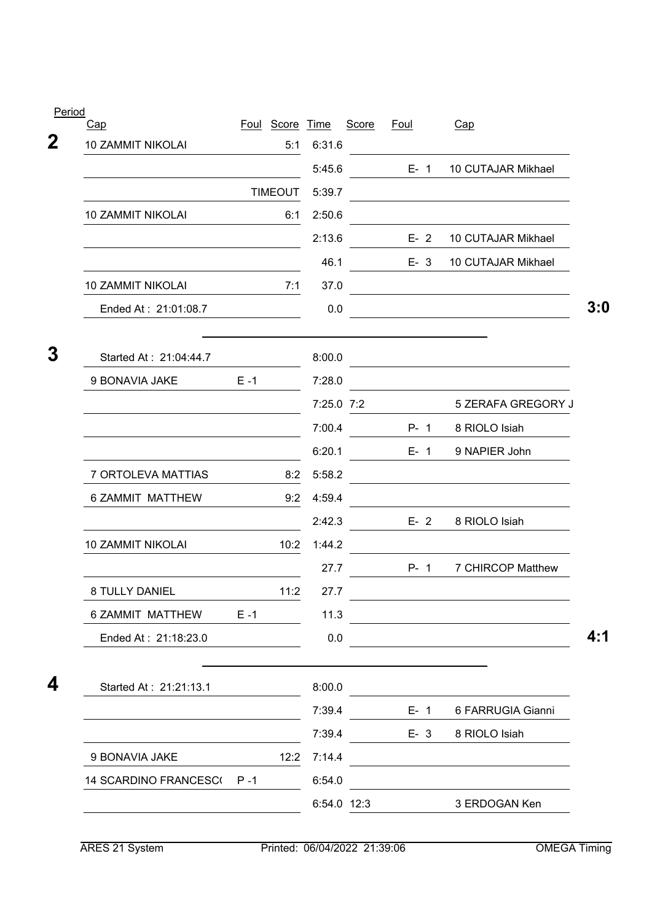| Period<br>Cap            |         | Foul Score Time |            | <b>Score</b> | <u>Foul</u> | Cap                    |
|--------------------------|---------|-----------------|------------|--------------|-------------|------------------------|
| <b>10 ZAMMIT NIKOLAI</b> |         | 5:1             | 6:31.6     |              |             |                        |
|                          |         |                 | 5:45.6     |              | $E - 1$     | 10 CUTAJAR Mikhael     |
|                          |         | <b>TIMEOUT</b>  | 5:39.7     |              |             |                        |
| 10 ZAMMIT NIKOLAI        |         | 6:1             | 2:50.6     |              |             |                        |
|                          |         |                 | 2:13.6     |              | $E - 2$     | 10 CUTAJAR Mikhael     |
|                          |         |                 | 46.1       |              | $E - 3$     | 10 CUTAJAR Mikhael     |
| 10 ZAMMIT NIKOLAI        |         | 7:1             | 37.0       |              |             |                        |
| Ended At: 21:01:08.7     |         |                 | 0.0        |              |             |                        |
| Started At: 21:04:44.7   |         |                 | 8:00.0     |              |             |                        |
| 9 BONAVIA JAKE           | $E - 1$ |                 | 7:28.0     |              |             |                        |
|                          |         |                 | 7:25.0 7:2 |              |             | 5 ZERAFA GREGORY J     |
|                          |         |                 | 7:00.4     |              | $P - 1$     | 8 RIOLO Isiah          |
|                          |         |                 | 6:20.1     |              | $E - 1$     | 9 NAPIER John          |
| 7 ORTOLEVA MATTIAS       |         | 8:2             | 5:58.2     |              |             |                        |
| 6 ZAMMIT MATTHEW         |         | 9:2             | 4:59.4     |              |             |                        |
|                          |         |                 | 2:42.3     |              | $E-2$       | 8 RIOLO Isiah          |
| 10 ZAMMIT NIKOLAI        |         | 10:2            | 1:44.2     |              |             |                        |
|                          |         |                 | 27.7       |              | $P - 1$     | 7 CHIRCOP Matthew      |
| 8 TULLY DANIEL           |         | 11:2            | 27.7       |              |             |                        |
| 6 ZAMMIT MATTHEW         | $E - 1$ |                 | 11.3       |              |             |                        |
| Ended At: 21:18:23.0     |         |                 | 0.0        |              |             |                        |
| Started At: 21:21:13.1   |         |                 | 8:00.0     |              |             |                        |
|                          |         |                 | 7:39.4     |              |             | E- 1 6 FARRUGIA Gianni |
|                          |         |                 | 7:39.4     |              |             | E- 3 8 RIOLO Isiah     |
| 9 BONAVIA JAKE           |         | 12:2            | 7:14.4     |              |             |                        |
| 14 SCARDINO FRANCESC(P-1 |         |                 | 6:54.0     |              |             |                        |
|                          |         |                 |            | 6:54.0 12:3  |             | 3 ERDOGAN Ken          |